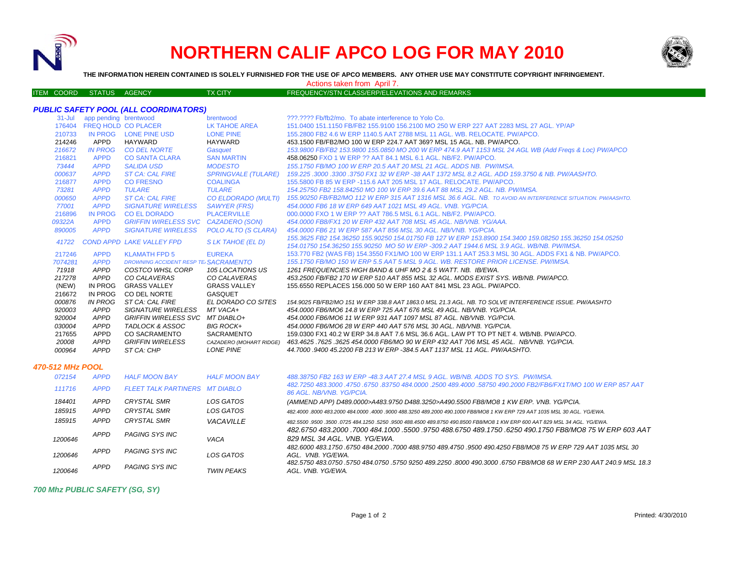

## **NORTHERN CALIF APCO LOG FOR MAY 2010**



**THE INFORMATION HEREIN CONTAINED IS SOLELY FURNISHED FOR THE USE OF APCO MEMBERS. ANY OTHER USE MAY CONSTITUTE COPYRIGHT INFRINGEMENT.**

ITEM COORD STATUS AGENCY TX CITY TIES TO PREQUENCY/STN CLASS/ERP/ELEVATIONS AND REMARKS

Actions taken from April 7.

## *PUBLIC SAFETY POOL (ALL COORDINATORS)*

| $31 -$ Jul | app pending brentwood |                                      | brentwood                  | 222.2222 Fb/fb2/mo. To abate interference to Yolo Co.                                                                                                                                               |
|------------|-----------------------|--------------------------------------|----------------------------|-----------------------------------------------------------------------------------------------------------------------------------------------------------------------------------------------------|
| 176404     |                       | <b>FREQ HOLD CO PLACER</b>           | LK TAHOE AREA              | 151.0400 151.1150 FB/FB2 155.9100 156.2100 MO 250 W ERP 227 AAT 2283 MSL 27 AGL. YP/AP                                                                                                              |
| 210733     |                       | IN PROG LONE PINE USD                | <b>LONE PINE</b>           | 155,2800 FB2 4.6 W ERP 1140.5 AAT 2788 MSL 11 AGL, WB, RELOCATE, PW/APCO,                                                                                                                           |
| 214246     | APPD                  | HAYWARD                              | HAYWARD                    | 453.1500 FB/FB2/MO 100 W ERP 224.7 AAT 369? MSL 15 AGL, NB, PW/APCO.                                                                                                                                |
| 216672     | <b>IN PROG</b>        | <b>CO DEL NORTE</b>                  | Gasquet                    | 153.9800 FB/FB2 153.9800 155.0850 MO 200 W ERP 474.9 AAT 1153 MSL 24 AGL WB (Add Freqs & Loc) PW/APCO                                                                                               |
| 216821     | <b>APPD</b>           | <b>CO SANTA CLARA</b>                | <b>SAN MARTIN</b>          | 458.06250 FXO 1 W ERP ?? AAT 84.1 MSL 6.1 AGL, NB/F2, PW/APCO.                                                                                                                                      |
| 73444      | <b>APPD</b>           | <b>SALIDA USD</b>                    | <b>MODESTO</b>             | 155.1750 FB/MO 100 W ERP 20.5 AAT 20 MSL 21 AGL, ADDS NB, PW/IMSA.                                                                                                                                  |
| 000637     | <b>APPD</b>           | <b>ST CA: CAL FIRE</b>               | <b>SPRINGVALE (TULARE)</b> | 159.225 .3000 .3300 .3750 FX1 32 W ERP -38 AAT 1372 MSL 8.2 AGL. ADD 159.3750 & NB. PW/AASHTO.                                                                                                      |
| 216877     | <b>APPD</b>           | <b>CO FRESNO</b>                     | <b>COALINGA</b>            | 155,5800 FB 85 W ERP -115.6 AAT 205 MSL 17 AGL, RELOCATE, PW/APCO.                                                                                                                                  |
| 73281      | <b>APPD</b>           | <b>TULARE</b>                        | <b>TULARE</b>              | 154.25750 FB2 158.84250 MO 100 W ERP 39.6 AAT 88 MSL 29.2 AGL. NB. PW/IMSA.                                                                                                                         |
| 000650     | <b>APPD</b>           | <b>ST CA: CAL FIRE</b>               |                            | CO ELDORADO (MULTI) 155.90250 FB/FB2/MO 112 W ERP 315 AAT 1316 MSL 36.6 AGL. NB. TO AVOID AN INTERFERENCE SITUATION. PW/AASHTO.                                                                     |
| 77001      | <b>APPD</b>           | <b>SIGNATURE WIRELESS</b>            | <b>SAWYER (FRS)</b>        | 454,0000 FB6 18 W ERP 649 AAT 1021 MSL 49 AGL, VNB, YG/PCIA,                                                                                                                                        |
| 216896     | <b>IN PROG</b>        | <b>CO EL DORADO</b>                  | <b>PLACERVILLE</b>         | 000.0000 FXO 1 W ERP ?? AAT 786.5 MSL 6.1 AGL. NB/F2. PW/APCO.                                                                                                                                      |
| 09322A     | <b>APPD</b>           | GRIFFIN WIRELESS SVC CAZADERO (SON)  |                            | 454,0000 FB8/FX1 20 W ERP 432 AAT 708 MSL 45 AGL, NB/VNB, YG/AAA,                                                                                                                                   |
| 890005     | <b>APPD</b>           | <b>SIGNATURE WIRELESS</b>            | POLO ALTO (S CLARA)        | 454,0000 FB6 21 W ERP 587 AAT 856 MSL 30 AGL, NB/VNB, YG/PCIA,                                                                                                                                      |
| 41722      |                       | <b>COND APPD LAKE VALLEY FPD</b>     | S LK TAHOE (EL D)          | 155.3625 FB2 154.36250 155.90250 154.01750 FB 127 W ERP 153.8900 154.3400 159.08250 155.36250 154.05250<br>154.01750 154.36250 155.90250 MO 50 W ERP -309.2 AAT 1944.6 MSL 3.9 AGL. WB/NB. PW/IMSA. |
| 217246     | <b>APPD</b>           | <b>KLAMATH FPD 5</b>                 | <b>EUREKA</b>              | 153.770 FB2 (WAS FB) 154.3550 FX1/MO 100 W ERP 131.1 AAT 253.3 MSL 30 AGL. ADDS FX1 & NB. PW/APCO.                                                                                                  |
| 7074281    | <b>APPD</b>           | DROWNING ACCIDENT RESP TE SACRAMENTO |                            | 155.1750 FB/MO 150 W ERP 5.5 AAT 5 MSL 9 AGL. WB. RESTORE PRIOR LICENSE. PW/IMSA.                                                                                                                   |
| 71918      | <b>APPD</b>           | COSTCO WHSL CORP                     | 105 LOCATIONS US           | 1261 FREQUENCIES HIGH BAND & UHF MO 2 & 5 WATT, NB. IB/EWA.                                                                                                                                         |
| 217278     | APPD                  | CO CALAVERAS                         | CO CALAVERAS               | 453.2500 FB/FB2 170 W ERP 510 AAT 855 MSL 32 AGL. MODS EXIST SYS. WB/NB. PW/APCO.                                                                                                                   |
| (NEW)      | IN PROG               | <b>GRASS VALLEY</b>                  | <b>GRASS VALLEY</b>        | 155,6550 REPLACES 156,000 50 W ERP 160 AAT 841 MSL 23 AGL, PW/APCO.                                                                                                                                 |
| 216672     | <b>IN PROG</b>        | CO DEL NORTE                         | GASQUET                    |                                                                                                                                                                                                     |
| 000876     | <b>IN PROG</b>        | ST CA: CAL FIRE                      | EL DORADO CO SITES         | 154.9025 FB/FB2/MO 151 W ERP 338.8 AAT 1863.0 MSL 21.3 AGL. NB. TO SOLVE INTERFERENCE ISSUE. PW/AASHTO                                                                                              |
| 920003     | APPD                  | <b>SIGNATURE WIRELESS</b>            | MT VACA+                   | 454,0000 FB6/MO6 14.8 W ERP 725 AAT 676 MSL 49 AGL. NB/VNB. YG/PCIA.                                                                                                                                |
| 920004     | <b>APPD</b>           | <b>GRIFFIN WIRELESS SVC</b>          | MT DIABLO+                 | 454.0000 FB6/MO6 11 W ERP 931 AAT 1097 MSL 87 AGL. NB/VNB. YG/PCIA.                                                                                                                                 |
| 030004     | <b>APPD</b>           | TADLOCK & ASSOC                      | <b>BIG ROCK+</b>           | 454.0000 FB6/MO6 28 W ERP 440 AAT 576 MSL 30 AGL, NB/VNB, YG/PCIA.                                                                                                                                  |
| 217655     | <b>APPD</b>           | <b>CO SACRAMENTO</b>                 | <b>SACRAMENTO</b>          | 159,0300 FX1 40.2 W ERP 34.8 AAT 7.6 MSL 36.6 AGL, LAW PT TO PT NET 4, WB/NB, PW/APCO,                                                                                                              |
| 20008      | <b>APPD</b>           | <b>GRIFFIN WIRELESS</b>              | CAZADERO (MOHART RIDGE)    | 463.4625 .7625 .3625 454.0000 FB6/MO 90 W ERP 432 AAT 706 MSL 45 AGL. NB/VNB. YG/PCIA.                                                                                                              |
| 000964     | <b>APPD</b>           | ST CA: CHP                           | <b>LONE PINE</b>           | 44,7000,9400 45,2200 FB 213 W ERP -384.5 AAT 1137 MSL 11 AGL, PW/AASHTO.                                                                                                                            |
|            |                       |                                      |                            |                                                                                                                                                                                                     |

## *470-512 MHz POOL*

| 072154  | <b>APPD</b> | <b>HALF MOON BAY</b>                  | <b>HALF MOON BAY</b> | 488.38750 FB2 163 W ERP -48.3 AAT 27.4 MSL 9 AGL. WB/NB. ADDS TO SYS. PW/IMSA.                                                             |
|---------|-------------|---------------------------------------|----------------------|--------------------------------------------------------------------------------------------------------------------------------------------|
| 111716  | <i>APPD</i> | <b>FLEET TALK PARTINERS MT DIABLO</b> |                      | 482.7250 483.3000 .4750 .6750 .83750 484.0000 .2500 489.4000 .58750 490.2000 FB2/FB6/FX1T/MO 100 W ERP 857 AAT<br>86 AGL, NB/VNB, YG/PCIA, |
| 184401  | APPD        | <b>CRYSTAL SMR</b>                    | LOS GATOS            | (AMMEND APP) D489.0000>A483.9750 D488.3250>A490.5500 FB8/MO8 1 KW ERP. VNB. YG/PCIA.                                                       |
| 185915  | APPD        | <b>CRYSTAL SMR</b>                    | LOS GATOS            | .482.4000 .8000 483.2000 484.0000 .4000 .9000 488.3250 489.2000 490.1000 FB8/MO8 1 KW ERP 729 AAT 1035 MSL 30 AGL. YG/EWA                  |
| 185915  | APPD        | <b>CRYSTAL SMR</b>                    | VACAVILLE            | .482,5500 ,9500 ,3500 ,0725 484,1250 ,5250 ,9500 488,4500 489,8750 490,8500 FB8/MO8 1 KW ERP 600 AAT 829 MSL 34 AGL, YG/EWA                |
| 1200646 | APPD        | PAGING SYS INC                        | VACA                 | 482.6750 483.2000 .7000 484.1000 .5500 .9750 488.6750 489.1750 .6250 490.1750 FB8/MO8 75 W ERP 603 AAT<br>829 MSL 34 AGL, VNB, YG/FWA,     |
| 1200646 | APPD        | PAGING SYS INC                        | LOS GATOS            | 482,6000 483,1750,6750 484,2000,7000 488,9750 489,4750,9500 490,4250 FB8/MO8 75 W ERP 729 AAT 1035 MSL 30<br>AGL. VNB. YG/EWA.             |
| 1200646 | <b>APPD</b> | PAGING SYS INC                        | <b>TWIN PEAKS</b>    | 482,5750,483,0750,5750,484,0750,5750,9250,489,2250,8000,490,3000,6750,FB8/MO8,68 W ERP 230,AAT 240,9 MSL 18.3<br>AGL. VNB. YG/EWA.         |

*700 Mhz PUBLIC SAFETY (SG, SY)*